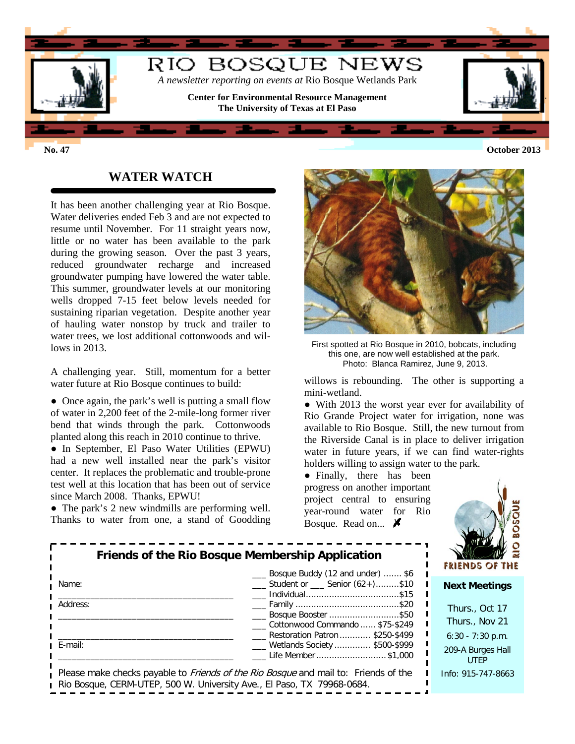

## **WATER WATCH**

It has been another challenging year at Rio Bosque. Water deliveries ended Feb 3 and are not expected to resume until November. For 11 straight years now, little or no water has been available to the park during the growing season. Over the past 3 years, reduced groundwater recharge and increased groundwater pumping have lowered the water table. This summer, groundwater levels at our monitoring wells dropped 7-15 feet below levels needed for sustaining riparian vegetation. Despite another year of hauling water nonstop by truck and trailer to water trees, we lost additional cottonwoods and willows in 2013.

A challenging year. Still, momentum for a better water future at Rio Bosque continues to build:

• Once again, the park's well is putting a small flow of water in 2,200 feet of the 2-mile-long former river bend that winds through the park. Cottonwoods planted along this reach in 2010 continue to thrive.

● In September, El Paso Water Utilities (EPWU) had a new well installed near the park's visitor center. It replaces the problematic and trouble-prone test well at this location that has been out of service since March 2008. Thanks, EPWU!

• The park's 2 new windmills are performing well. Thanks to water from one, a stand of Goodding



First spotted at Rio Bosque in 2010, bobcats, including this one, are now well established at the park. Photo: Blanca Ramirez, June 9, 2013.

willows is rebounding. The other is supporting a mini-wetland.

• With 2013 the worst year ever for availability of Rio Grande Project water for irrigation, none was available to Rio Bosque. Still, the new turnout from the Riverside Canal is in place to deliver irrigation water in future years, if we can find water-rights holders willing to assign water to the park.

• Finally, there has been progress on another important project central to ensuring year-round water for Rio Bosque. Read on...  $\cancel{\blacktriangleright}$ 



| Friends of the Rio Bosque Membership Application | <b>FRIENDS OF THI</b>                                                                                                                                                |                                  |
|--------------------------------------------------|----------------------------------------------------------------------------------------------------------------------------------------------------------------------|----------------------------------|
| Name:                                            | __ Bosque Buddy (12 and under)  \$6<br>Student or Senior (62+)\$10                                                                                                   | <b>Next Meetings</b>             |
| Address:                                         | ____ Family ………………………………………\$20<br>__ Bosque Booster \$50                                                                                                            | Thurs., Oct 17                   |
|                                                  | Cottonwood Commando  \$75-\$249                                                                                                                                      | Thurs., Nov 21                   |
|                                                  | Restoration Patron \$250-\$499                                                                                                                                       | $6:30 - 7:30$ p.m.               |
| <b>I</b> E-mail:                                 | ___ Wetlands Society  \$500-\$999<br>Life Member\$1,000                                                                                                              | 209-A Burges Hall<br><b>UTFP</b> |
|                                                  | Please make checks payable to <i>Friends of the Rio Bosque</i> and mail to: Friends of the<br>Rio Bosque, CERM-UTEP, 500 W. University Ave., El Paso, TX 79968-0684. | Info: 915-747-8663               |